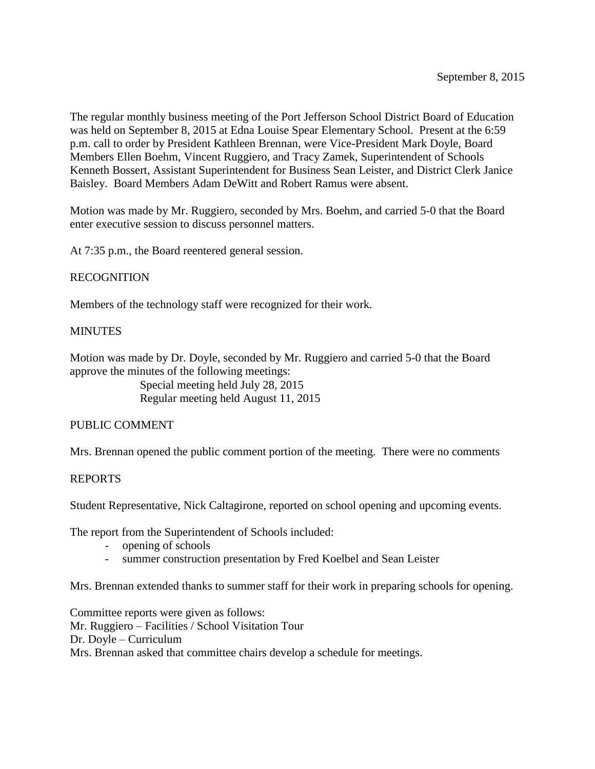The regular monthly business meeting of the Port Jefferson School District Board of Education was held on September 8, 2015 at Edna Louise Spear Elementary School. Present at the 6:59 p.m. call to order by President Kathleen Brennan, were Vice-President Mark Doyle, Board Members Ellen Boehm, Vincent Ruggiero, and Tracy Zamek, Superintendent of Schools Kenneth Bossert, Assistant Superintendent for Business Sean Leister, and District Clerk Janice Baisley. Board Members Adam DeWitt and Robert Ramus were absent.

Motion was made by Mr. Ruggiero, seconded by Mrs. Boehm, and carried 5-0 that the Board enter executive session to discuss personnel matters.

At 7:35 p.m., the Board reentered general session.

## RECOGNITION

Members of the technology staff were recognized for their work.

## **MINUTES**

Motion was made by Dr. Doyle, seconded by Mr. Ruggiero and carried 5-0 that the Board approve the minutes of the following meetings:

> Special meeting held July 28, 2015 Regular meeting held August 11, 2015

## PUBLIC COMMENT

Mrs. Brennan opened the public comment portion of the meeting. There were no comments

## REPORTS

Student Representative, Nick Caltagirone, reported on school opening and upcoming events.

The report from the Superintendent of Schools included:

- opening of schools
- summer construction presentation by Fred Koelbel and Sean Leister

Mrs. Brennan extended thanks to summer staff for their work in preparing schools for opening.

Committee reports were given as follows: Mr. Ruggiero – Facilities / School Visitation Tour Dr. Doyle – Curriculum Mrs. Brennan asked that committee chairs develop a schedule for meetings.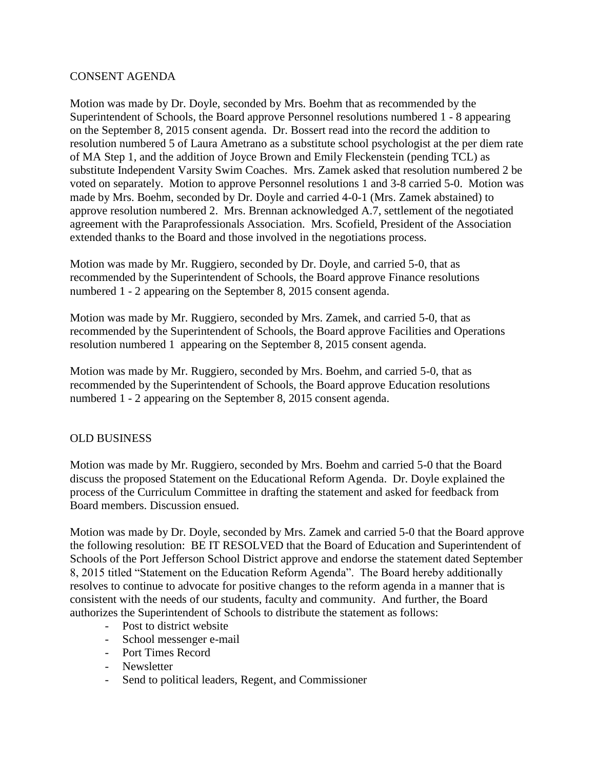## CONSENT AGENDA

Motion was made by Dr. Doyle, seconded by Mrs. Boehm that as recommended by the Superintendent of Schools, the Board approve Personnel resolutions numbered 1 - 8 appearing on the September 8, 2015 consent agenda. Dr. Bossert read into the record the addition to resolution numbered 5 of Laura Ametrano as a substitute school psychologist at the per diem rate of MA Step 1, and the addition of Joyce Brown and Emily Fleckenstein (pending TCL) as substitute Independent Varsity Swim Coaches. Mrs. Zamek asked that resolution numbered 2 be voted on separately. Motion to approve Personnel resolutions 1 and 3-8 carried 5-0. Motion was made by Mrs. Boehm, seconded by Dr. Doyle and carried 4-0-1 (Mrs. Zamek abstained) to approve resolution numbered 2. Mrs. Brennan acknowledged A.7, settlement of the negotiated agreement with the Paraprofessionals Association. Mrs. Scofield, President of the Association extended thanks to the Board and those involved in the negotiations process.

Motion was made by Mr. Ruggiero, seconded by Dr. Doyle, and carried 5-0, that as recommended by the Superintendent of Schools, the Board approve Finance resolutions numbered 1 - 2 appearing on the September 8, 2015 consent agenda.

Motion was made by Mr. Ruggiero, seconded by Mrs. Zamek, and carried 5-0, that as recommended by the Superintendent of Schools, the Board approve Facilities and Operations resolution numbered 1 appearing on the September 8, 2015 consent agenda.

Motion was made by Mr. Ruggiero, seconded by Mrs. Boehm, and carried 5-0, that as recommended by the Superintendent of Schools, the Board approve Education resolutions numbered 1 - 2 appearing on the September 8, 2015 consent agenda.

# OLD BUSINESS

Motion was made by Mr. Ruggiero, seconded by Mrs. Boehm and carried 5-0 that the Board discuss the proposed Statement on the Educational Reform Agenda. Dr. Doyle explained the process of the Curriculum Committee in drafting the statement and asked for feedback from Board members. Discussion ensued.

Motion was made by Dr. Doyle, seconded by Mrs. Zamek and carried 5-0 that the Board approve the following resolution: BE IT RESOLVED that the Board of Education and Superintendent of Schools of the Port Jefferson School District approve and endorse the statement dated September 8, 2015 titled "Statement on the Education Reform Agenda". The Board hereby additionally resolves to continue to advocate for positive changes to the reform agenda in a manner that is consistent with the needs of our students, faculty and community. And further, the Board authorizes the Superintendent of Schools to distribute the statement as follows:

- Post to district website
- School messenger e-mail
- Port Times Record
- Newsletter
- Send to political leaders, Regent, and Commissioner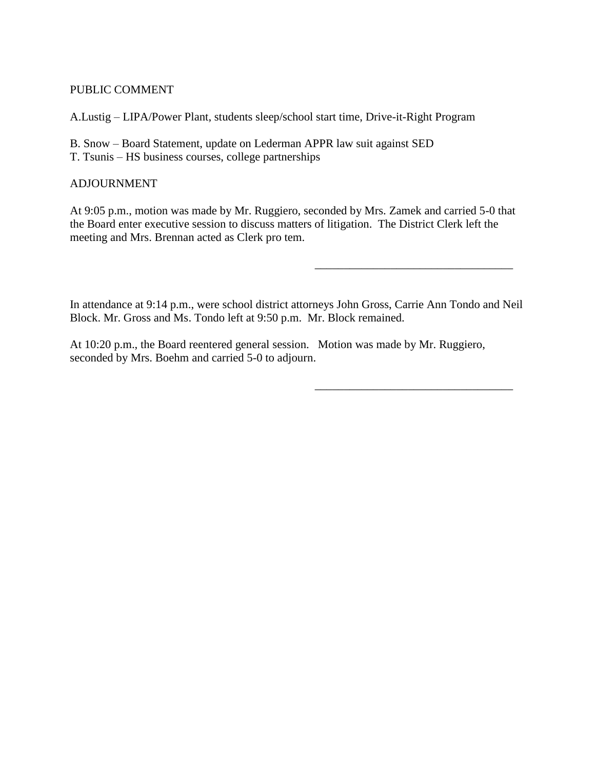## PUBLIC COMMENT

A.Lustig – LIPA/Power Plant, students sleep/school start time, Drive-it-Right Program

- B. Snow Board Statement, update on Lederman APPR law suit against SED
- T. Tsunis HS business courses, college partnerships

# ADJOURNMENT

At 9:05 p.m., motion was made by Mr. Ruggiero, seconded by Mrs. Zamek and carried 5-0 that the Board enter executive session to discuss matters of litigation. The District Clerk left the meeting and Mrs. Brennan acted as Clerk pro tem.

In attendance at 9:14 p.m., were school district attorneys John Gross, Carrie Ann Tondo and Neil Block. Mr. Gross and Ms. Tondo left at 9:50 p.m. Mr. Block remained.

\_\_\_\_\_\_\_\_\_\_\_\_\_\_\_\_\_\_\_\_\_\_\_\_\_\_\_\_\_\_\_\_\_\_

\_\_\_\_\_\_\_\_\_\_\_\_\_\_\_\_\_\_\_\_\_\_\_\_\_\_\_\_\_\_\_\_\_\_

At 10:20 p.m., the Board reentered general session. Motion was made by Mr. Ruggiero, seconded by Mrs. Boehm and carried 5-0 to adjourn.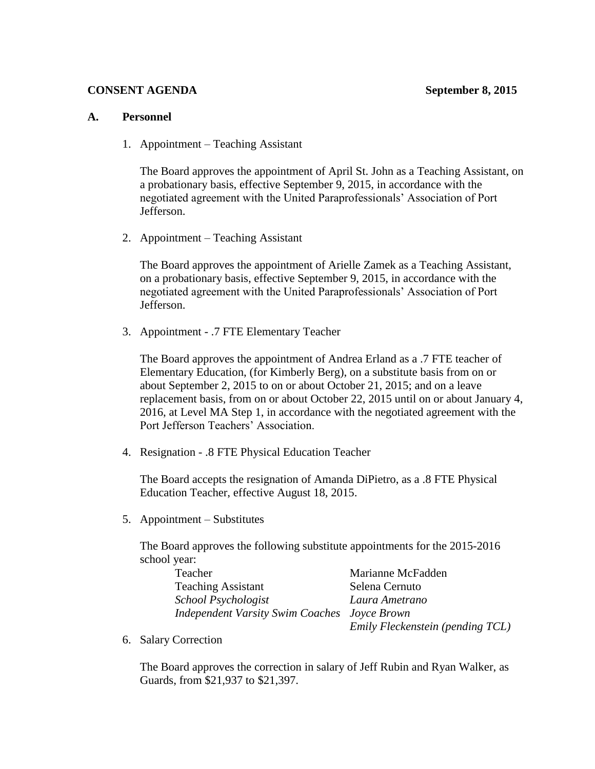#### **CONSENT AGENDA** September 8, 2015

#### **A. Personnel**

1. Appointment – Teaching Assistant

The Board approves the appointment of April St. John as a Teaching Assistant, on a probationary basis, effective September 9, 2015, in accordance with the negotiated agreement with the United Paraprofessionals' Association of Port Jefferson.

2. Appointment – Teaching Assistant

The Board approves the appointment of Arielle Zamek as a Teaching Assistant, on a probationary basis, effective September 9, 2015, in accordance with the negotiated agreement with the United Paraprofessionals' Association of Port Jefferson.

3. Appointment - .7 FTE Elementary Teacher

The Board approves the appointment of Andrea Erland as a .7 FTE teacher of Elementary Education, (for Kimberly Berg), on a substitute basis from on or about September 2, 2015 to on or about October 21, 2015; and on a leave replacement basis, from on or about October 22, 2015 until on or about January 4, 2016, at Level MA Step 1, in accordance with the negotiated agreement with the Port Jefferson Teachers' Association.

4. Resignation - .8 FTE Physical Education Teacher

The Board accepts the resignation of Amanda DiPietro, as a .8 FTE Physical Education Teacher, effective August 18, 2015.

5. Appointment – Substitutes

The Board approves the following substitute appointments for the 2015-2016 school year:

| Teacher                                             | Marianne McFadden                |
|-----------------------------------------------------|----------------------------------|
| <b>Teaching Assistant</b>                           | Selena Cernuto                   |
| School Psychologist                                 | Laura Ametrano                   |
| <b>Independent Varsity Swim Coaches Joyce Brown</b> |                                  |
|                                                     | Emily Fleckenstein (pending TCL) |

6. Salary Correction

The Board approves the correction in salary of Jeff Rubin and Ryan Walker, as Guards, from \$21,937 to \$21,397.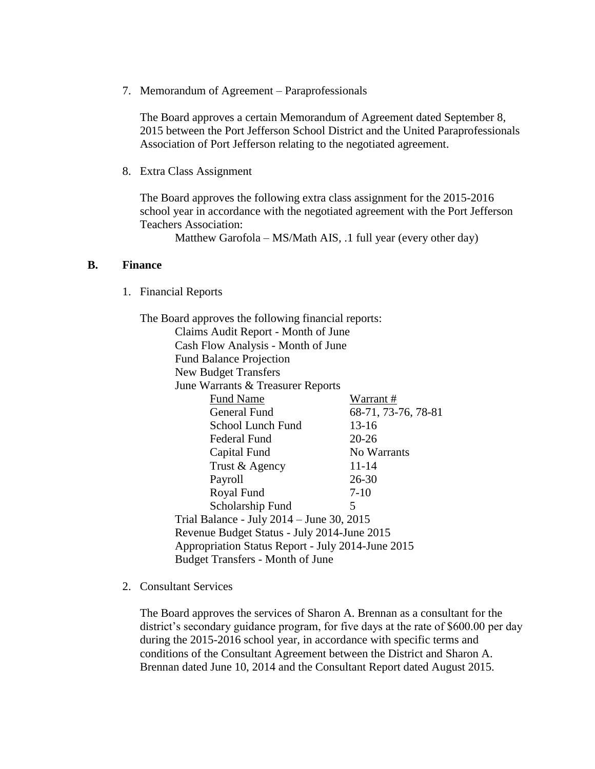7. Memorandum of Agreement – Paraprofessionals

The Board approves a certain Memorandum of Agreement dated September 8, 2015 between the Port Jefferson School District and the United Paraprofessionals Association of Port Jefferson relating to the negotiated agreement.

8. Extra Class Assignment

The Board approves the following extra class assignment for the 2015-2016 school year in accordance with the negotiated agreement with the Port Jefferson Teachers Association:

Matthew Garofola – MS/Math AIS, .1 full year (every other day)

#### **B. Finance**

1. Financial Reports

| The Board approves the following financial reports: |                     |
|-----------------------------------------------------|---------------------|
| Claims Audit Report - Month of June                 |                     |
| Cash Flow Analysis - Month of June                  |                     |
| <b>Fund Balance Projection</b>                      |                     |
| <b>New Budget Transfers</b>                         |                     |
| June Warrants & Treasurer Reports                   |                     |
| <b>Fund Name</b>                                    | Warrant #           |
| <b>General Fund</b>                                 | 68-71, 73-76, 78-81 |
| <b>School Lunch Fund</b>                            | $13 - 16$           |
| Federal Fund                                        | $20 - 26$           |
| Capital Fund                                        | No Warrants         |
| Trust & Agency                                      | $11 - 14$           |
| Payroll                                             | $26 - 30$           |
| Royal Fund                                          | $7-10$              |
| Scholarship Fund                                    | 5                   |
| Trial Balance - July 2014 – June 30, 2015           |                     |
| Revenue Budget Status - July 2014-June 2015         |                     |
| Appropriation Status Report - July 2014-June 2015   |                     |
| <b>Budget Transfers - Month of June</b>             |                     |

2. Consultant Services

The Board approves the services of Sharon A. Brennan as a consultant for the district's secondary guidance program, for five days at the rate of \$600.00 per day during the 2015-2016 school year, in accordance with specific terms and conditions of the Consultant Agreement between the District and Sharon A. Brennan dated June 10, 2014 and the Consultant Report dated August 2015.